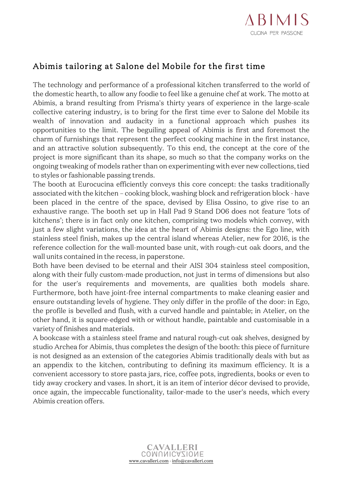

## Abimis tailoring at Salone del Mobile for the first time

The technology and performance of a professional kitchen transferred to the world of the domestic hearth, to allow any foodie to feel like a genuine chef at work. The motto at Abimis, a brand resulting from Prisma's thirty years of experience in the large-scale collective catering industry, is to bring for the first time ever to Salone del Mobile its wealth of innovation and audacity in a functional approach which pushes its opportunities to the limit. The beguiling appeal of Abimis is first and foremost the charm of furnishings that represent the perfect cooking machine in the first instance, and an attractive solution subsequently. To this end, the concept at the core of the project is more significant than its shape, so much so that the company works on the ongoing tweaking of models rather than on experimenting with ever new collections, tied to styles or fashionable passing trends.

The booth at Eurocucina efficiently conveys this core concept: the tasks traditionally associated with the kitchen – cooking block, washing block and refrigeration block - have been placed in the centre of the space, devised by Elisa Ossino, to give rise to an exhaustive range. The booth set up in Hall Pad 9 Stand D06 does not feature 'lots of kitchens'; there is in fact only one kitchen, comprising two models which convey, with just a few slight variations, the idea at the heart of Abimis designs: the Ego line, with stainless steel finish, makes up the central island whereas Atelier, new for 2016, is the reference collection for the wall-mounted base unit, with rough-cut oak doors, and the wall units contained in the recess, in paperstone.

Both have been devised to be eternal and their AISI 304 stainless steel composition, along with their fully custom-made production, not just in terms of dimensions but also for the user's requirements and movements, are qualities both models share. Furthermore, both have joint-free internal compartments to make cleaning easier and ensure outstanding levels of hygiene. They only differ in the profile of the door: in Ego, the profile is bevelled and flush, with a curved handle and paintable; in Atelier, on the other hand, it is square-edged with or without handle, paintable and customisable in a variety of finishes and materials.

A bookcase with a stainless steel frame and natural rough-cut oak shelves, designed by studio Archea for Abimis, thus completes the design of the booth: this piece of furniture is not designed as an extension of the categories Abimis traditionally deals with but as an appendix to the kitchen, contributing to defining its maximum efficiency. It is a convenient accessory to store pasta jars, rice, coffee pots, ingredients, books or even to tidy away crockery and vases. In short, it is an item of interior décor devised to provide, once again, the impeccable functionality, tailor-made to the user's needs, which every Abimis creation offers.